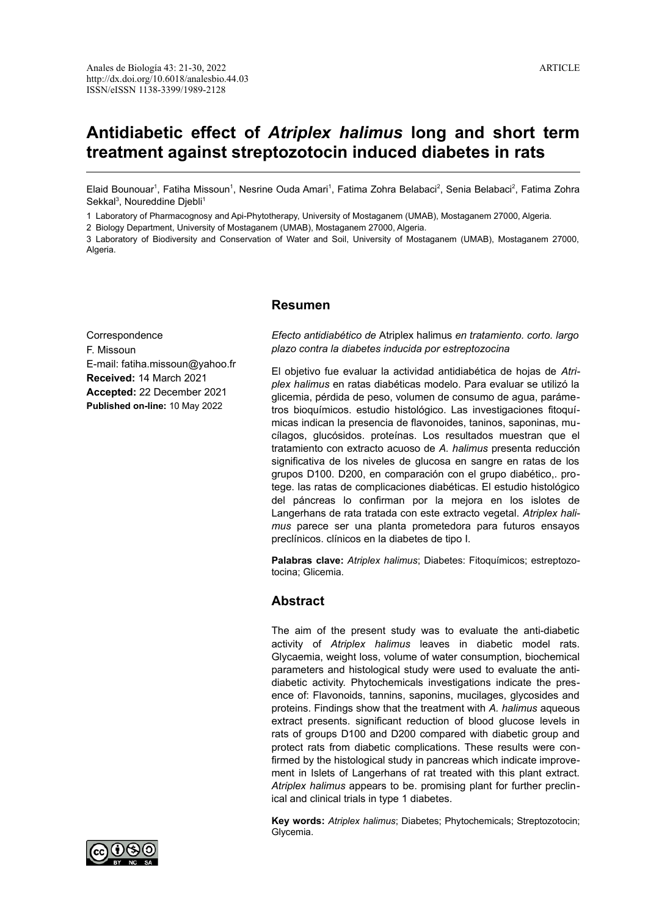# **Antidiabetic effect of** *Atriplex halimus* **long and short term treatment against streptozotocin induced diabetes in rats**

Elaid Bounouar<sup>1</sup>, Fatiha Missoun<sup>1</sup>, Nesrine Ouda Amari<sup>1</sup>, Fatima Zohra Belabaci<sup>2</sup>, Senia Belabaci<sup>2</sup>, Fatima Zohra Sekkal<sup>3</sup>, Noureddine Djebli<sup>1</sup>

1 Laboratory of Pharmacognosy and Api-Phytotherapy, University of Mostaganem (UMAB), Mostaganem 27000, Algeria.

2 Biology Department, University of Mostaganem (UMAB), Mostaganem 27000, Algeria.

3 Laboratory of Biodiversity and Conservation of Water and Soil, University of Mostaganem (UMAB), Mostaganem 27000, Algeria.

# **Resumen**

Correspondence F. Missoun E-mail: fatiha.missoun@yahoo.fr **Received:** 14 March 2021 **Accepted:** 22 December 2021 **Published on-line:** 10 May 2022

*Efecto antidiabético de* Atriplex halimus *en tratamiento. corto. largo plazo contra la diabetes inducida por estreptozocina*

El objetivo fue evaluar la actividad antidiabética de hojas de *Atriplex halimus* en ratas diabéticas modelo. Para evaluar se utilizó la glicemia, pérdida de peso, volumen de consumo de agua, parámetros bioquímicos. estudio histológico. Las investigaciones fitoquímicas indican la presencia de flavonoides, taninos, saponinas, mucílagos, glucósidos. proteínas. Los resultados muestran que el tratamiento con extracto acuoso de *A. halimus* presenta reducción significativa de los niveles de glucosa en sangre en ratas de los grupos D100. D200, en comparación con el grupo diabético,. protege. las ratas de complicaciones diabéticas. El estudio histológico del páncreas lo confirman por la mejora en los islotes de Langerhans de rata tratada con este extracto vegetal. *Atriplex halimus* parece ser una planta prometedora para futuros ensayos preclínicos. clínicos en la diabetes de tipo I.

**Palabras clave:** *Atriplex halimus*; Diabetes: Fitoquímicos; estreptozotocina; Glicemia.

# **Abstract**

The aim of the present study was to evaluate the anti-diabetic activity of *Atriplex halimus* leaves in diabetic model rats. Glycaemia, weight loss, volume of water consumption, biochemical parameters and histological study were used to evaluate the antidiabetic activity. Phytochemicals investigations indicate the presence of: Flavonoids, tannins, saponins, mucilages, glycosides and proteins. Findings show that the treatment with *A. halimus* aqueous extract presents. significant reduction of blood glucose levels in rats of groups D100 and D200 compared with diabetic group and protect rats from diabetic complications. These results were confirmed by the histological study in pancreas which indicate improvement in Islets of Langerhans of rat treated with this plant extract. *Atriplex halimus* appears to be. promising plant for further preclinical and clinical trials in type 1 diabetes.

**Key words:** *Atriplex halimus*; Diabetes; Phytochemicals; Streptozotocin; Glycemia.

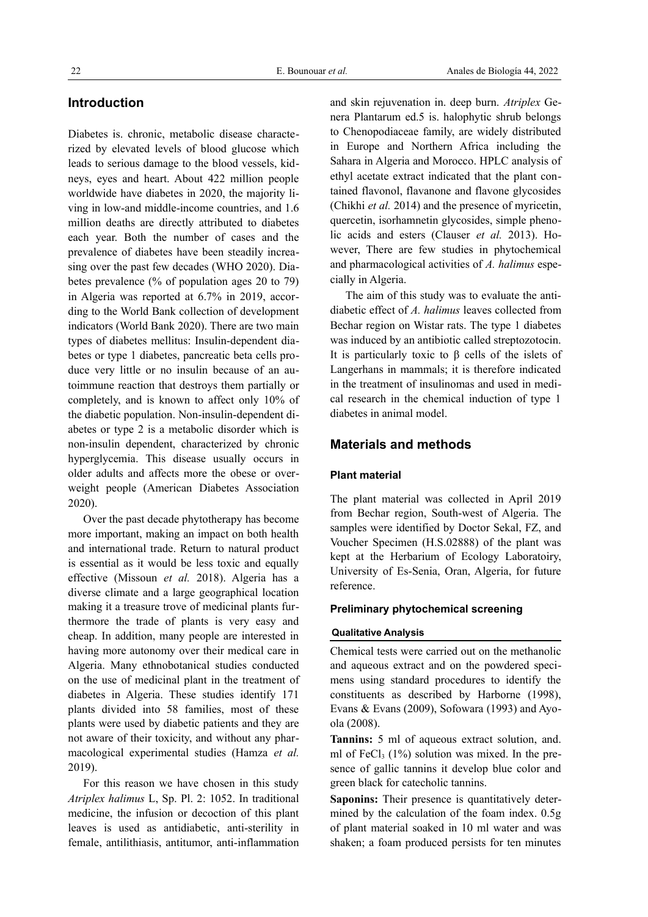# **Introduction**

Diabetes is. chronic, metabolic disease characterized by elevated levels of blood glucose which leads to serious damage to the blood vessels, kidneys, eyes and heart. About 422 million people worldwide have diabetes in 2020, the majority living in low-and middle-income countries, and 1.6 million deaths are directly attributed to diabetes each year. Both the number of cases and the prevalence of diabetes have been steadily increasing over the past few decades (WHO 2020). Diabetes prevalence (% of population ages 20 to 79) in Algeria was reported at 6.7% in 2019, according to the World Bank collection of development indicators (World Bank 2020). There are two main types of diabetes mellitus: Insulin-dependent diabetes or type 1 diabetes, pancreatic beta cells produce very little or no insulin because of an autoimmune reaction that destroys them partially or completely, and is known to affect only 10% of the diabetic population. Non-insulin-dependent diabetes or type 2 is a metabolic disorder which is non-insulin dependent, characterized by chronic hyperglycemia. This disease usually occurs in older adults and affects more the obese or overweight people (American Diabetes Association 2020).

Over the past decade phytotherapy has become more important, making an impact on both health and international trade. Return to natural product is essential as it would be less toxic and equally effective (Missoun *et al.* 2018). Algeria has a diverse climate and a large geographical location making it a treasure trove of medicinal plants furthermore the trade of plants is very easy and cheap. In addition, many people are interested in having more autonomy over their medical care in Algeria. Many ethnobotanical studies conducted on the use of medicinal plant in the treatment of diabetes in Algeria. These studies identify 171 plants divided into 58 families, most of these plants were used by diabetic patients and they are not aware of their toxicity, and without any pharmacological experimental studies (Hamza *et al.* 2019).

For this reason we have chosen in this study *Atriplex halimus* L, Sp. Pl. 2: 1052. In traditional medicine, the infusion or decoction of this plant leaves is used as antidiabetic, anti-sterility in female, antilithiasis, antitumor, anti-inflammation and skin rejuvenation in. deep burn. *Atriplex* Genera Plantarum ed.5 is. halophytic shrub belongs to Chenopodiaceae family, are widely distributed in Europe and Northern Africa including the Sahara in Algeria and Morocco. HPLC analysis of ethyl acetate extract indicated that the plant contained flavonol, flavanone and flavone glycosides (Chikhi *et al.* 2014) and the presence of myricetin, quercetin, isorhamnetin glycosides, simple phenolic acids and esters (Clauser *et al.* 2013). However, There are few studies in phytochemical and pharmacological activities of *A. halimus* especially in Algeria.

The aim of this study was to evaluate the antidiabetic effect of *A. halimus* leaves collected from Bechar region on Wistar rats. The type 1 diabetes was induced by an antibiotic called streptozotocin. It is particularly toxic to β cells of the islets of Langerhans in mammals; it is therefore indicated in the treatment of insulinomas and used in medical research in the chemical induction of type 1 diabetes in animal model.

# **Materials and methods**

## **Plant material**

The plant material was collected in April 2019 from Bechar region, South-west of Algeria. The samples were identified by Doctor Sekal, FZ, and Voucher Specimen (H.S.02888) of the plant was kept at the Herbarium of Ecology Laboratoiry, University of Es-Senia, Oran, Algeria, for future reference.

## **Preliminary phytochemical screening**

## **Qualitative Analysis**

Chemical tests were carried out on the methanolic and aqueous extract and on the powdered specimens using standard procedures to identify the constituents as described by Harborne (1998), Evans & Evans (2009), Sofowara (1993) and Ayoola (2008).

**Tannins:** 5 ml of aqueous extract solution, and. ml of FeCl<sub>3</sub>  $(1%)$  solution was mixed. In the presence of gallic tannins it develop blue color and green black for catecholic tannins.

**Saponins:** Their presence is quantitatively determined by the calculation of the foam index. 0.5g of plant material soaked in 10 ml water and was shaken; a foam produced persists for ten minutes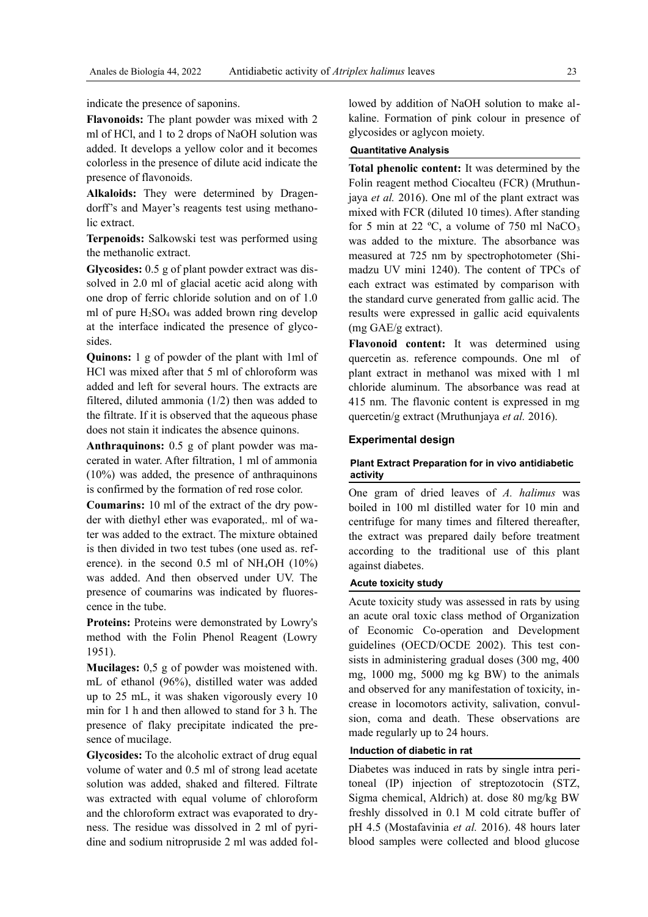indicate the presence of saponins.

**Flavonoids:** The plant powder was mixed with 2 ml of HCl, and 1 to 2 drops of NaOH solution was added. It develops a yellow color and it becomes colorless in the presence of dilute acid indicate the presence of flavonoids.

**Alkaloids:** They were determined by Dragendorff's and Mayer's reagents test using methanolic extract.

**Terpenoids:** Salkowski test was performed using the methanolic extract.

**Glycosides:** 0.5 g of plant powder extract was dissolved in 2.0 ml of glacial acetic acid along with one drop of ferric chloride solution and on of 1.0 ml of pure  $H_2SO_4$  was added brown ring develop at the interface indicated the presence of glycosides.

**Quinons:** 1 g of powder of the plant with 1ml of HCl was mixed after that 5 ml of chloroform was added and left for several hours. The extracts are filtered, diluted ammonia (1/2) then was added to the filtrate. If it is observed that the aqueous phase does not stain it indicates the absence quinons.

**Anthraquinons:** 0.5 g of plant powder was macerated in water. After filtration, 1 ml of ammonia (10%) was added, the presence of anthraquinons is confirmed by the formation of red rose color.

**Coumarins:** 10 ml of the extract of the dry powder with diethyl ether was evaporated,. ml of water was added to the extract. The mixture obtained is then divided in two test tubes (one used as. reference). in the second  $0.5$  ml of NH<sub>4</sub>OH (10%) was added. And then observed under UV. The presence of coumarins was indicated by fluorescence in the tube.

**Proteins:** Proteins were demonstrated by Lowry's method with the Folin Phenol Reagent (Lowry 1951).

**Mucilages:** 0,5 g of powder was moistened with. mL of ethanol (96%), distilled water was added up to 25 mL, it was shaken vigorously every 10 min for 1 h and then allowed to stand for 3 h. The presence of flaky precipitate indicated the presence of mucilage.

**Glycosides:** To the alcoholic extract of drug equal volume of water and 0.5 ml of strong lead acetate solution was added, shaked and filtered. Filtrate was extracted with equal volume of chloroform and the chloroform extract was evaporated to dryness. The residue was dissolved in 2 ml of pyridine and sodium nitropruside 2 ml was added followed by addition of NaOH solution to make alkaline. Formation of pink colour in presence of glycosides or aglycon moiety.

## **Quantitative Analysis**

**Total phenolic content:** It was determined by the Folin reagent method Ciocalteu (FCR) (Mruthunjaya *et al.* 2016). One ml of the plant extract was mixed with FCR (diluted 10 times). After standing for 5 min at 22  $^{\circ}$ C, a volume of 750 ml NaCO<sub>3</sub> was added to the mixture. The absorbance was measured at 725 nm by spectrophotometer (Shimadzu UV mini 1240). The content of TPCs of each extract was estimated by comparison with the standard curve generated from gallic acid. The results were expressed in gallic acid equivalents (mg GAE/g extract).

**Flavonoid content:** It was determined using quercetin as. reference compounds. One ml of plant extract in methanol was mixed with 1 ml chloride aluminum. The absorbance was read at 415 nm. The flavonic content is expressed in mg quercetin/g extract (Mruthunjaya *et al.* 2016).

## **Experimental design**

## **Plant Extract Preparation for in vivo antidiabetic activity**

One gram of dried leaves of *A. halimus* was boiled in 100 ml distilled water for 10 min and centrifuge for many times and filtered thereafter, the extract was prepared daily before treatment according to the traditional use of this plant against diabetes.

#### **Acute toxicity study**

Acute toxicity study was assessed in rats by using an acute oral toxic class method of Organization of Economic Co-operation and Development guidelines (OECD/OCDE 2002). This test consists in administering gradual doses (300 mg, 400 mg, 1000 mg, 5000 mg kg BW) to the animals and observed for any manifestation of toxicity, increase in locomotors activity, salivation, convulsion, coma and death. These observations are made regularly up to 24 hours.

#### **Induction of diabetic in rat**

Diabetes was induced in rats by single intra peritoneal (IP) injection of streptozotocin (STZ, Sigma chemical, Aldrich) at. dose 80 mg/kg BW freshly dissolved in 0.1 M cold citrate buffer of pH 4.5 (Mostafavinia *et al.* 2016). 48 hours later blood samples were collected and blood glucose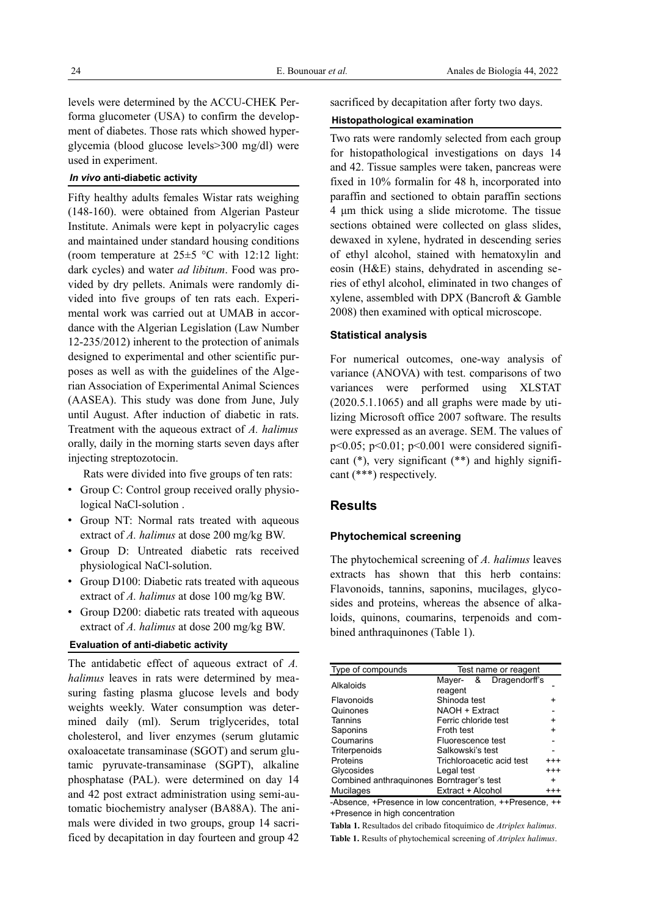levels were determined by the ACCU-CHEK Performa glucometer (USA) to confirm the development of diabetes. Those rats which showed hyperglycemia (blood glucose levels>300 mg/dl) were used in experiment.

## *In vivo* **anti-diabetic activity**

Fifty healthy adults females Wistar rats weighing (148-160). were obtained from Algerian Pasteur Institute. Animals were kept in polyacrylic cages and maintained under standard housing conditions (room temperature at  $25\pm5$  °C with 12:12 light: dark cycles) and water *ad libitum*. Food was provided by dry pellets. Animals were randomly divided into five groups of ten rats each. Experimental work was carried out at UMAB in accordance with the Algerian Legislation (Law Number 12-235/2012) inherent to the protection of animals designed to experimental and other scientific purposes as well as with the guidelines of the Algerian Association of Experimental Animal Sciences (AASEA). This study was done from June, July until August. After induction of diabetic in rats. Treatment with the aqueous extract of *A. halimus* orally, daily in the morning starts seven days after injecting streptozotocin.

Rats were divided into five groups of ten rats:

- Group C: Control group received orally physiological NaCl-solution .
- Group NT: Normal rats treated with aqueous extract of *A. halimus* at dose 200 mg/kg BW.
- Group D: Untreated diabetic rats received physiological NaCl-solution.
- Group D100: Diabetic rats treated with aqueous extract of *A. halimus* at dose 100 mg/kg BW.
- Group D200: diabetic rats treated with aqueous extract of *A. halimus* at dose 200 mg/kg BW.

#### **Evaluation of anti-diabetic activity**

The antidabetic effect of aqueous extract of *A. halimus* leaves in rats were determined by measuring fasting plasma glucose levels and body weights weekly. Water consumption was determined daily (ml). Serum triglycerides, total cholesterol, and liver enzymes (serum glutamic oxaloacetate transaminase (SGOT) and serum glutamic pyruvate-transaminase (SGPT), alkaline phosphatase (PAL). were determined on day 14 and 42 post extract administration using semi-automatic biochemistry analyser (BA88A). The animals were divided in two groups, group 14 sacrificed by decapitation in day fourteen and group 42 sacrificed by decapitation after forty two days.

#### **Histopathological examination**

Two rats were randomly selected from each group for histopathological investigations on days 14 and 42. Tissue samples were taken, pancreas were fixed in 10% formalin for 48 h, incorporated into paraffin and sectioned to obtain paraffin sections 4 um thick using a slide microtome. The tissue sections obtained were collected on glass slides, dewaxed in xylene, hydrated in descending series of ethyl alcohol, stained with hematoxylin and eosin (H&E) stains, dehydrated in ascending series of ethyl alcohol, eliminated in two changes of xylene, assembled with DPX (Bancroft & Gamble 2008) then examined with optical microscope.

#### **Statistical analysis**

For numerical outcomes, one-way analysis of variance (ANOVA) with test. comparisons of two variances were performed using XLSTAT (2020.5.1.1065) and all graphs were made by utilizing Microsoft office 2007 software. The results were expressed as an average. SEM. The values of p<0.05; p<0.01; p<0.001 were considered significant  $(*)$ , very significant  $(**)$  and highly significant (\*\*\*) respectively.

# **Results**

## **Phytochemical screening**

The phytochemical screening of *A. halimus* leaves extracts has shown that this herb contains: Flavonoids, tannins, saponins, mucilages, glycosides and proteins, whereas the absence of alkaloids, quinons, coumarins, terpenoids and combined anthraquinones (Table 1).

| Type of compounds                         | Test name or reagent      |           |  |
|-------------------------------------------|---------------------------|-----------|--|
| Alkaloids                                 | & Dragendorff's<br>Mayer- |           |  |
|                                           | reagent                   |           |  |
| Flavonoids                                | Shinoda test              |           |  |
| Quinones                                  | NAOH + Extract            |           |  |
| Tannins                                   | Ferric chloride test      | +         |  |
| Saponins                                  | Froth test                | $\ddot{}$ |  |
| Coumarins                                 | Fluorescence test         |           |  |
| Triterpenoids                             | Salkowski's test          |           |  |
| Proteins                                  | Trichloroacetic acid test | $^{+++}$  |  |
| Glycosides                                | Legal test                | $^{+++}$  |  |
| Combined anthraguinones Borntrager's test |                           | $+$       |  |
| Mucilages                                 | Extract + Alcohol         | $^{+++}$  |  |
|                                           |                           |           |  |

-Absence, +Presence in low concentration, ++Presence, ++ +Presence in high concentration

**Tabla 1.** Resultados del cribado fitoquímico de *Atriplex halimus*. **Table 1.** Results of phytochemical screening of *Atriplex halimus*.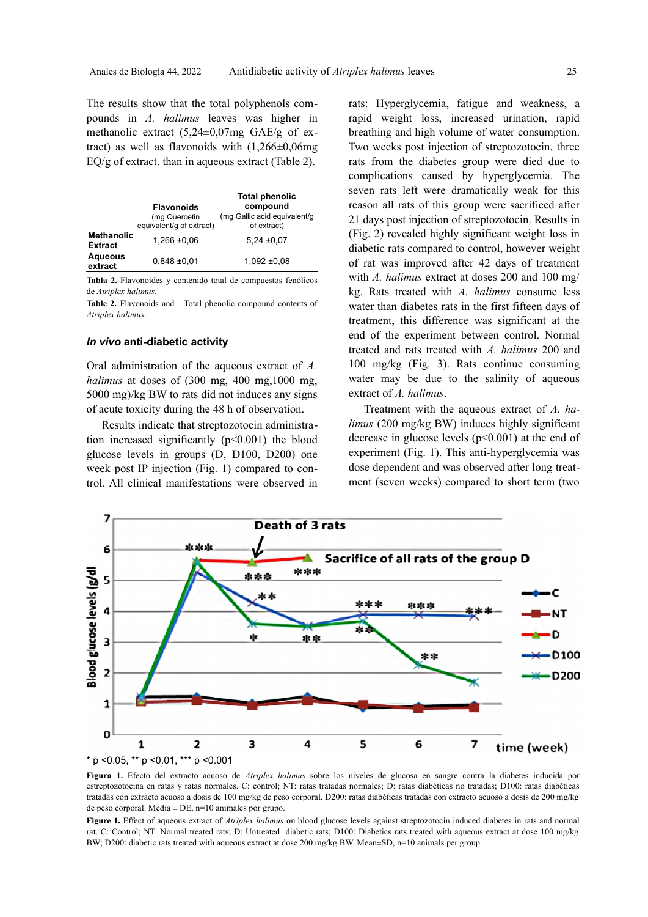The results show that the total polyphenols compounds in *A. halimus* leaves was higher in methanolic extract (5,24±0,07mg GAE/g of extract) as well as flavonoids with  $(1,266\pm0,06)$ EQ/g of extract. than in aqueous extract (Table 2).

|                   | <b>Total phenolic</b>                        |  |  |
|-------------------|----------------------------------------------|--|--|
| <b>Flavonoids</b> | compound                                     |  |  |
| (mg Quercetin     | (mg Gallic acid equivalent/g                 |  |  |
|                   | of extract)                                  |  |  |
| <b>Methanolic</b> | $5,24 \pm 0,07$                              |  |  |
|                   |                                              |  |  |
| $0.848 \pm 0.01$  | $1,092 \pm 0.08$                             |  |  |
|                   | equivalent/g of extract)<br>$1,266 \pm 0.06$ |  |  |

**Tabla 2.** Flavonoides y contenido total de compuestos fenólicos de *Atriplex halimus*.

**Table 2.** Flavonoids and Total phenolic compound contents of *Atriplex halimus*.

### *In vivo* **anti-diabetic activity**

Oral administration of the aqueous extract of *A. halimus* at doses of (300 mg, 400 mg,1000 mg, 5000 mg)/kg BW to rats did not induces any signs of acute toxicity during the 48 h of observation.

Results indicate that streptozotocin administration increased significantly  $(p<0.001)$  the blood glucose levels in groups (D, D100, D200) one week post IP injection (Fig. 1) compared to control. All clinical manifestations were observed in rats: Hyperglycemia, fatigue and weakness, a rapid weight loss, increased urination, rapid breathing and high volume of water consumption. Two weeks post injection of streptozotocin, three rats from the diabetes group were died due to complications caused by hyperglycemia. The seven rats left were dramatically weak for this reason all rats of this group were sacrificed after 21 days post injection of streptozotocin. Results in (Fig. 2) revealed highly significant weight loss in diabetic rats compared to control, however weight of rat was improved after 42 days of treatment with *A. halimus* extract at doses 200 and 100 mg/ kg. Rats treated with *A. halimus* consume less water than diabetes rats in the first fifteen days of treatment, this difference was significant at the end of the experiment between control. Normal treated and rats treated with *A. halimus* 200 and 100 mg/kg (Fig. 3). Rats continue consuming water may be due to the salinity of aqueous extract of *A. halimus*.

Treatment with the aqueous extract of *A. halimus* (200 mg/kg BW) induces highly significant decrease in glucose levels (p<0.001) at the end of experiment (Fig. 1). This anti-hyperglycemia was dose dependent and was observed after long treatment (seven weeks) compared to short term (two



**Figura 1.** Efecto del extracto acuoso de *Atriplex halimus* sobre los niveles de glucosa en sangre contra la diabetes inducida por estreptozotocina en ratas y ratas normales. C: control; NT: ratas tratadas normales; D: ratas diabéticas no tratadas; D100: ratas diabéticas tratadas con extracto acuoso a dosis de 100 mg/kg de peso corporal. D200: ratas diabéticas tratadas con extracto acuoso a dosis de 200 mg/kg de peso corporal. Media  $\pm$  DE, n=10 animales por grupo.

**Figure 1.** Effect of aqueous extract of *Atriplex halimus* on blood glucose levels against streptozotocin induced diabetes in rats and normal rat. C: Control; NT: Normal treated rats; D: Untreated diabetic rats; D100: Diabetics rats treated with aqueous extract at dose 100 mg/kg BW; D200: diabetic rats treated with aqueous extract at dose 200 mg/kg BW. Mean±SD, n=10 animals per group.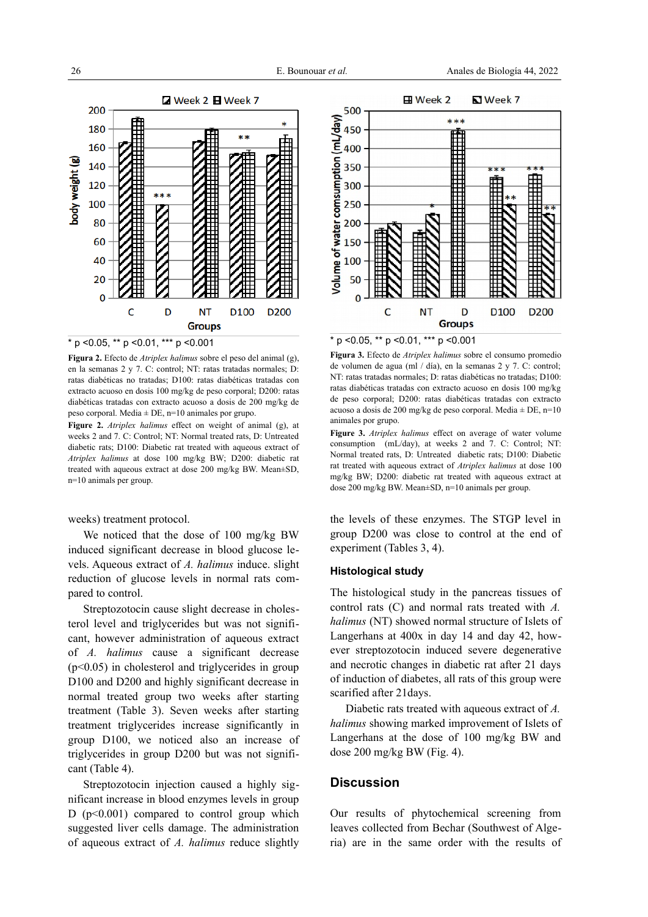

**Figura 2.** Efecto de *Atriplex halimus* sobre el peso del animal (g), en la semanas 2 y 7. C: control; NT: ratas tratadas normales; D: ratas diabéticas no tratadas; D100: ratas diabéticas tratadas con extracto acuoso en dosis 100 mg/kg de peso corporal; D200: ratas diabéticas tratadas con extracto acuoso a dosis de 200 mg/kg de peso corporal. Media  $\pm$  DE, n=10 animales por grupo.

**Figure 2.** *Atriplex halimus* effect on weight of animal (g), at weeks 2 and 7. C: Control; NT: Normal treated rats, D: Untreated diabetic rats; D100: Diabetic rat treated with aqueous extract of *Atriplex halimus* at dose 100 mg/kg BW; D200: diabetic rat treated with aqueous extract at dose 200 mg/kg BW. Mean±SD, n=10 animals per group.

weeks) treatment protocol.

We noticed that the dose of 100 mg/kg BW induced significant decrease in blood glucose levels. Aqueous extract of *A. halimus* induce. slight reduction of glucose levels in normal rats compared to control.

Streptozotocin cause slight decrease in cholesterol level and triglycerides but was not significant, however administration of aqueous extract of *A. halimus* cause a significant decrease (p<0.05) in cholesterol and triglycerides in group D100 and D200 and highly significant decrease in normal treated group two weeks after starting treatment (Table 3). Seven weeks after starting treatment triglycerides increase significantly in group D100, we noticed also an increase of triglycerides in group D200 but was not significant (Table 4).

Streptozotocin injection caused a highly significant increase in blood enzymes levels in group D ( $p<0.001$ ) compared to control group which suggested liver cells damage. The administration of aqueous extract of *A. halimus* reduce slightly



**Figura 3.** Efecto de *Atriplex halimus* sobre el consumo promedio de volumen de agua (ml / día), en la semanas 2 y 7. C: control; NT: ratas tratadas normales; D: ratas diabéticas no tratadas; D100: ratas diabéticas tratadas con extracto acuoso en dosis 100 mg/kg de peso corporal; D200: ratas diabéticas tratadas con extracto acuoso a dosis de 200 mg/kg de peso corporal. Media  $\pm$  DE, n=10 animales por grupo.

**Figure 3.** *Atriplex halimus* effect on average of water volume consumption (mL/day), at weeks 2 and 7. C: Control; NT: Normal treated rats, D: Untreated diabetic rats; D100: Diabetic rat treated with aqueous extract of *Atriplex halimus* at dose 100 mg/kg BW; D200: diabetic rat treated with aqueous extract at dose 200 mg/kg BW. Mean±SD, n=10 animals per group.

the levels of these enzymes. The STGP level in group D200 was close to control at the end of experiment (Tables 3, 4).

## **Histological study**

The histological study in the pancreas tissues of control rats (C) and normal rats treated with *A. halimus* (NT) showed normal structure of Islets of Langerhans at 400x in day 14 and day 42, however streptozotocin induced severe degenerative and necrotic changes in diabetic rat after 21 days of induction of diabetes, all rats of this group were scarified after 21days.

Diabetic rats treated with aqueous extract of *A. halimus* showing marked improvement of Islets of Langerhans at the dose of 100 mg/kg BW and dose 200 mg/kg BW (Fig. 4).

## **Discussion**

Our results of phytochemical screening from leaves collected from Bechar (Southwest of Algeria) are in the same order with the results of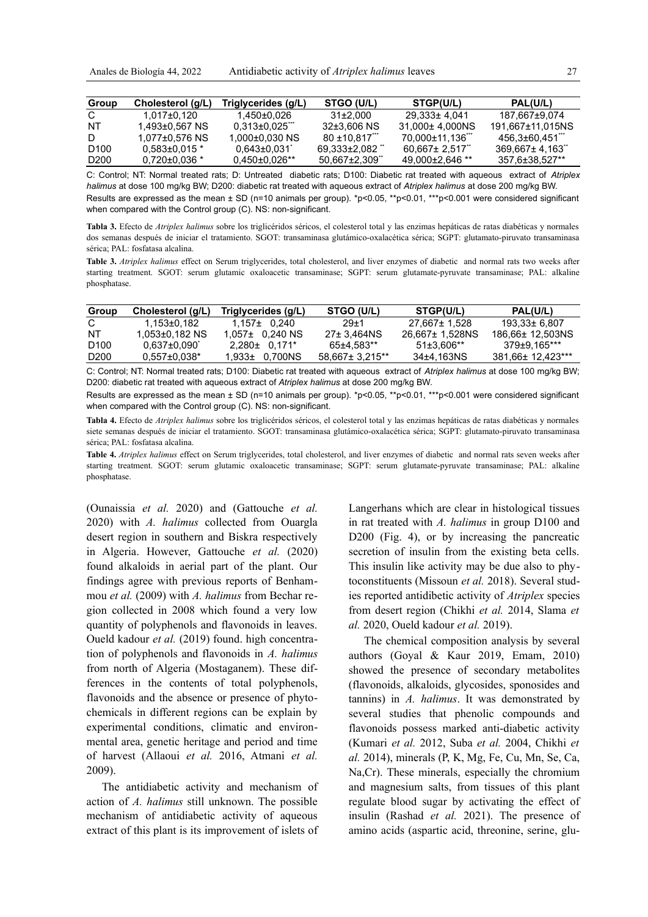| Group            | Cholesterol (g/L)   | Triglycerides (g/L)          | <b>STGO (U/L)</b>  | STGP(U/L)                    | PAL(U/L)                    |
|------------------|---------------------|------------------------------|--------------------|------------------------------|-----------------------------|
| C.               | 1.017±0.120         | 1.450±0.026                  | $31\pm2.000$       | 29.333± 4.041                | 187.667±9.074               |
| NT               | 1.493±0.567 NS      | $0.313 \pm 0.025$            | 32±3.606 NS        | 31,000± 4,000NS              | 191,667±11,015NS            |
| D.               | 1,077±0,576 NS      | $1.000 \pm 0.030 \text{ NS}$ | $80 + 10.817$      | 70.000±11.136 <sup>***</sup> | 456.3±60.451 <sup>***</sup> |
| D <sub>100</sub> | $0.583\pm0.015$ *   | $0.643 \pm 0.031$            | 69.333±2.082       | 60.667± 2.517                | $369.667 \pm 4.163$         |
| D <sub>200</sub> | $0.720 \pm 0.036$ * | $0.450\pm0.026**$            | $50.667 \pm 2.309$ | $49.000 \pm 2.646$ **        | 357.6±38.527**              |

C: Control; NT: Normal treated rats; D: Untreated diabetic rats; D100: Diabetic rat treated with aqueous extract of *Atriplex halimus* at dose 100 mg/kg BW; D200: diabetic rat treated with aqueous extract of *Atriplex halimus* at dose 200 mg/kg BW. Results are expressed as the mean ± SD (n=10 animals per group). \*p<0.05, \*\*p<0.01, \*\*\*p<0.001 were considered significant when compared with the Control group (C). NS: non-significant.

**Tabla 3.** Efecto de *Atriplex halimus* sobre los triglicéridos séricos, el colesterol total y las enzimas hepáticas de ratas diabéticas y normales dos semanas después de iniciar el tratamiento. SGOT: transaminasa glutámico-oxalacética sérica; SGPT: glutamato-piruvato transaminasa sérica; PAL: fosfatasa alcalina.

**Table 3.** *Atriplex halimus* effect on Serum triglycerides, total cholesterol, and liver enzymes of diabetic and normal rats two weeks after starting treatment. SGOT: serum glutamic oxaloacetic transaminase; SGPT: serum glutamate-pyruvate transaminase; PAL: alkaline phosphatase.

| Group            | Cholesterol (q/L) | Triglycerides (g/L)  | <b>STGO (U/L)</b> | STGP(U/L)       | PAL(U/L)          |
|------------------|-------------------|----------------------|-------------------|-----------------|-------------------|
| C                | 1.153±0.182       | $1.157\pm 0.240$     | $29 + 1$          | 27.667± 1.528   | 193.33± 6.807     |
| NT               | 1,053±0,182 NS    | 1.057± 0.240 NS      | 27± 3.464NS       | 26,667± 1,528NS | 186.66± 12.503NS  |
| D <sub>100</sub> | $0.637 \pm 0.090$ | $2.280 \pm 0.171$ *  | 65±4.583**        | $51\pm3.606**$  | 379±9.165***      |
| D <sub>200</sub> | 0.557±0.038*      | $1.933 \pm 0.700$ NS | 58.667± 3.215**   | 34±4.163NS      | 381.66± 12.423*** |

C: Control; NT: Normal treated rats; D100: Diabetic rat treated with aqueous extract of *Atriplex halimus* at dose 100 mg/kg BW; D200: diabetic rat treated with aqueous extract of *Atriplex halimus* at dose 200 mg/kg BW.

Results are expressed as the mean ± SD (n=10 animals per group). \*p<0.05, \*\*p<0.01, \*\*\*p<0.001 were considered significant when compared with the Control group (C). NS: non-significant.

**Tabla 4.** Efecto de *Atriplex halimus* sobre los triglicéridos séricos, el colesterol total y las enzimas hepáticas de ratas diabéticas y normales siete semanas después de iniciar el tratamiento. SGOT: transaminasa glutámico-oxalacética sérica; SGPT: glutamato-piruvato transaminasa sérica; PAL: fosfatasa alcalina.

**Table 4.** *Atriplex halimus* effect on Serum triglycerides, total cholesterol, and liver enzymes of diabetic and normal rats seven weeks after starting treatment. SGOT: serum glutamic oxaloacetic transaminase; SGPT: serum glutamate-pyruvate transaminase; PAL: alkaline phosphatase.

(Ounaissia *et al.* 2020) and (Gattouche *et al.* 2020) with *A. halimus* collected from Ouargla desert region in southern and Biskra respectively in Algeria. However, Gattouche *et al.* (2020) found alkaloids in aerial part of the plant. Our findings agree with previous reports of Benhammou *et al.* (2009) with *A. halimus* from Bechar region collected in 2008 which found a very low quantity of polyphenols and flavonoids in leaves. Oueld kadour *et al.* (2019) found. high concentration of polyphenols and flavonoids in *A. halimus* from north of Algeria (Mostaganem). These differences in the contents of total polyphenols, flavonoids and the absence or presence of phytochemicals in different regions can be explain by experimental conditions, climatic and environmental area, genetic heritage and period and time of harvest (Allaoui *et al.* 2016, Atmani *et al.* 2009).

The antidiabetic activity and mechanism of action of *A. halimus* still unknown. The possible mechanism of antidiabetic activity of aqueous extract of this plant is its improvement of islets of

Langerhans which are clear in histological tissues in rat treated with *A. halimus* in group D100 and D200 (Fig. 4), or by increasing the pancreatic secretion of insulin from the existing beta cells. This insulin like activity may be due also to phytoconstituents (Missoun *et al.* 2018). Several studies reported antidibetic activity of *Atriplex* species from desert region (Chikhi *et al.* 2014, Slama *et al.* 2020, Oueld kadour *et al.* 2019).

The chemical composition analysis by several authors (Goyal & Kaur 2019, Emam, 2010) showed the presence of secondary metabolites (flavonoids, alkaloids, glycosides, sponosides and tannins) in *A. halimus*. It was demonstrated by several studies that phenolic compounds and flavonoids possess marked anti-diabetic activity (Kumari *et al.* 2012, Suba *et al.* 2004, Chikhi *et al.* 2014), minerals (P, K, Mg, Fe, Cu, Mn, Se, Ca, Na,Cr). These minerals, especially the chromium and magnesium salts, from tissues of this plant regulate blood sugar by activating the effect of insulin (Rashad *et al.* 2021). The presence of amino acids (aspartic acid, threonine, serine, glu-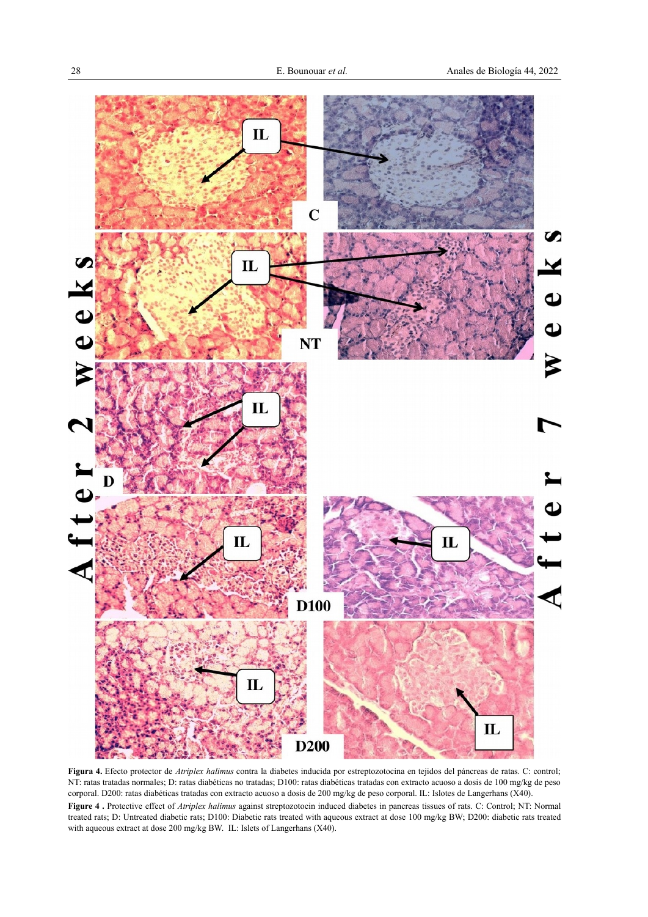

**Figura 4.** Efecto protector de *Atriplex halimus* contra la diabetes inducida por estreptozotocina en tejidos del páncreas de ratas. C: control; NT: ratas tratadas normales; D: ratas diabéticas no tratadas; D100: ratas diabéticas tratadas con extracto acuoso a dosis de 100 mg/kg de peso corporal. D200: ratas diabéticas tratadas con extracto acuoso a dosis de 200 mg/kg de peso corporal. IL: Islotes de Langerhans (X40).

**Figure 4 .** Protective effect of *Atriplex halimus* against streptozotocin induced diabetes in pancreas tissues of rats. C: Control; NT: Normal treated rats; D: Untreated diabetic rats; D100: Diabetic rats treated with aqueous extract at dose 100 mg/kg BW; D200: diabetic rats treated with aqueous extract at dose 200 mg/kg BW. IL: Islets of Langerhans (X40).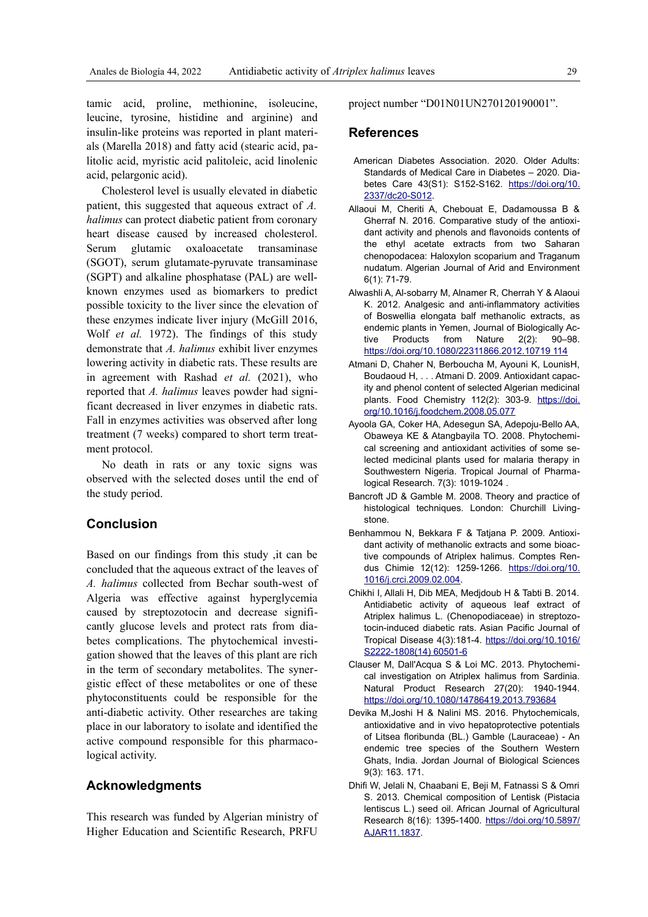tamic acid, proline, methionine, isoleucine, leucine, tyrosine, histidine and arginine) and insulin-like proteins was reported in plant materials (Marella 2018) and fatty acid (stearic acid, palitolic acid, myristic acid palitoleic, acid linolenic acid, pelargonic acid).

Cholesterol level is usually elevated in diabetic patient, this suggested that aqueous extract of *A. halimus* can protect diabetic patient from coronary heart disease caused by increased cholesterol. Serum glutamic oxaloacetate transaminase (SGOT), serum glutamate-pyruvate transaminase (SGPT) and alkaline phosphatase (PAL) are wellknown enzymes used as biomarkers to predict possible toxicity to the liver since the elevation of these enzymes indicate liver injury (McGill 2016, Wolf *et al.* 1972). The findings of this study demonstrate that *A. halimus* exhibit liver enzymes lowering activity in diabetic rats. These results are in agreement with Rashad *et al.* (2021), who reported that *A. halimus* leaves powder had significant decreased in liver enzymes in diabetic rats. Fall in enzymes activities was observed after long treatment (7 weeks) compared to short term treatment protocol.

No death in rats or any toxic signs was observed with the selected doses until the end of the study period.

# **Conclusion**

Based on our findings from this study ,it can be concluded that the aqueous extract of the leaves of *A. halimus* collected from Bechar south-west of Algeria was effective against hyperglycemia caused by streptozotocin and decrease significantly glucose levels and protect rats from diabetes complications. The phytochemical investigation showed that the leaves of this plant are rich in the term of secondary metabolites. The synergistic effect of these metabolites or one of these phytoconstituents could be responsible for the anti-diabetic activity. Other researches are taking place in our laboratory to isolate and identified the active compound responsible for this pharmacological activity.

# **Acknowledgments**

This research was funded by Algerian ministry of Higher Education and Scientific Research, PRFU

project number "D01N01UN270120190001".

# **References**

- American Diabetes Association. 2020. Older Adults: Standards of Medical Care in Diabetes – 2020. Diabetes Care 43(S1): S152-S162. [https://doi.org/10.](https://doi.org/10.2337/dc20-S012) [2337/dc20-S012.](https://doi.org/10.2337/dc20-S012)
- Allaoui M, Cheriti A, Chebouat E, Dadamoussa B & Gherraf N. 2016. Comparative study of the antioxidant activity and phenols and flavonoids contents of the ethyl acetate extracts from two Saharan chenopodacea: Haloxylon scoparium and Traganum nudatum. Algerian Journal of Arid and Environment 6(1): 71-79.
- Alwashli A, Al-sobarry M, Alnamer R, Cherrah Y & Alaoui K. 2012. Analgesic and anti-inflammatory activities of Boswellia elongata balf methanolic extracts, as endemic plants in Yemen, Journal of Biologically Active Products from Nature 2(2): 90–98. [https://doi.org/10.1080/22311866.2012.10719 114](https://doi.org/10.1080/22311866.2012.10719114)
- Atmani D, Chaher N, Berboucha M, Ayouni K, LounisH, Boudaoud H, . . . Atmani D. 2009. Antioxidant capacity and phenol content of selected Algerian medicinal plants. Food Chemistry 112(2): 303-9. [https://doi.](https://doi.org/10.1016/j.foodchem.2008.05.077) [org/10.1016/j.foodchem.2008.05.077](https://doi.org/10.1016/j.foodchem.2008.05.077)
- Ayoola GA, Coker HA, Adesegun SA, Adepoju-Bello AA, Obaweya KE & Atangbayila TO. 2008. Phytochemical screening and antioxidant activities of some selected medicinal plants used for malaria therapy in Southwestern Nigeria. Tropical Journal of Pharmalogical Research. 7(3): 1019-1024 .
- Bancroft JD & Gamble M. 2008. Theory and practice of histological techniques. London: Churchill Livingstone.
- Benhammou N, Bekkara F & Tatjana P. 2009. Antioxidant activity of methanolic extracts and some bioactive compounds of Atriplex halimus. Comptes Rendus Chimie 12(12): 1259-1266. [https://doi.org/10.](https://doi.org/10.1016/j.crci.2009.02.004) [1016/j.crci.2009.02.004.](https://doi.org/10.1016/j.crci.2009.02.004)
- Chikhi I, Allali H, Dib MEA, Medjdoub H & Tabti B. 2014. Antidiabetic activity of aqueous leaf extract of Atriplex halimus L. (Chenopodiaceae) in streptozotocin-induced diabetic rats. Asian Pacific Journal of Tropical Disease 4(3):181-4. [https://doi.org/10.1016/](https://doi.org/10.1016/S2222-1808(14)60501-6) [S2222-1808\(14\) 60501-6](https://doi.org/10.1016/S2222-1808(14)60501-6)
- Clauser M, Dall'Acqua S & Loi MC. 2013. Phytochemical investigation on Atriplex halimus from Sardinia. Natural Product Research 27(20): 1940-1944. https://doi.org/10.1080/14786419.2013.793684
- Devika M,Joshi H & Nalini MS. 2016. Phytochemicals, antioxidative and in vivo hepatoprotective potentials of Litsea floribunda (BL.) Gamble (Lauraceae) - An endemic tree species of the Southern Western Ghats, India. Jordan Journal of Biological Sciences 9(3): 163. 171.
- Dhifi W, Jelali N, Chaabani E, Beji M, Fatnassi S & Omri S. 2013. Chemical composition of Lentisk (Pistacia lentiscus L.) seed oil. African Journal of Agricultural Research 8(16): 1395-1400. [https://doi.org/10.5897/](https://doi.org/10.5897/AJAR11.1837) [AJAR11.1837.](https://doi.org/10.5897/AJAR11.1837)